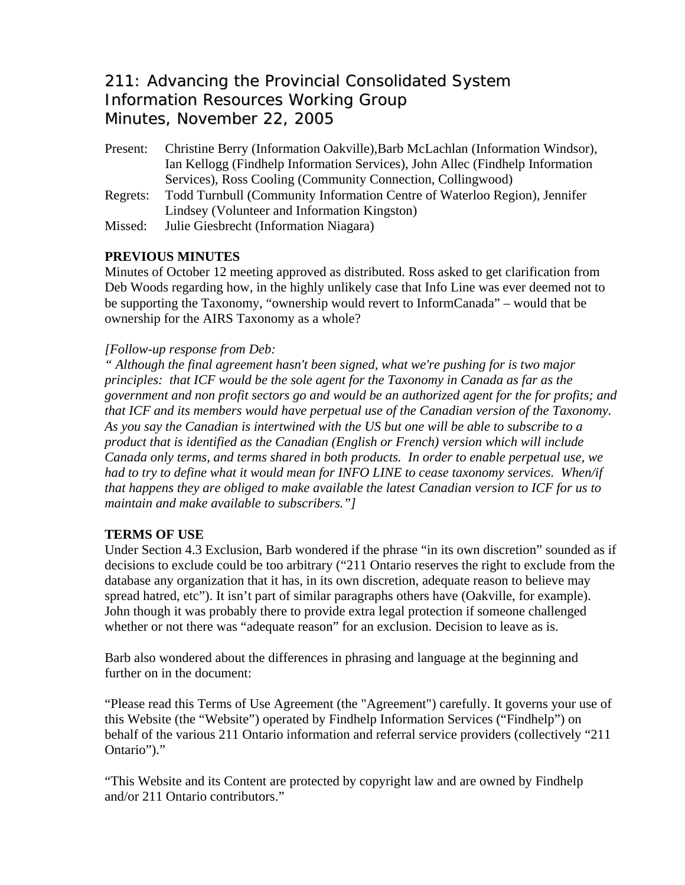# 211: Advancing the Provincial Consolidated System Information Resources Working Group Minutes, November 22, 2005

- Present: Christine Berry (Information Oakville),Barb McLachlan (Information Windsor), Ian Kellogg (Findhelp Information Services), John Allec (Findhelp Information Services), Ross Cooling (Community Connection, Collingwood) Regrets: Todd Turnbull (Community Information Centre of Waterloo Region), Jennifer Lindsey (Volunteer and Information Kingston)
- Missed: Julie Giesbrecht (Information Niagara)

## **PREVIOUS MINUTES**

Minutes of October 12 meeting approved as distributed. Ross asked to get clarification from Deb Woods regarding how, in the highly unlikely case that Info Line was ever deemed not to be supporting the Taxonomy, "ownership would revert to InformCanada" – would that be ownership for the AIRS Taxonomy as a whole?

## *[Follow-up response from Deb:*

*" Although the final agreement hasn't been signed, what we're pushing for is two major principles: that ICF would be the sole agent for the Taxonomy in Canada as far as the government and non profit sectors go and would be an authorized agent for the for profits; and that ICF and its members would have perpetual use of the Canadian version of the Taxonomy. As you say the Canadian is intertwined with the US but one will be able to subscribe to a product that is identified as the Canadian (English or French) version which will include Canada only terms, and terms shared in both products. In order to enable perpetual use, we had to try to define what it would mean for INFO LINE to cease taxonomy services. When/if that happens they are obliged to make available the latest Canadian version to ICF for us to maintain and make available to subscribers."]* 

## **TERMS OF USE**

Under Section 4.3 Exclusion, Barb wondered if the phrase "in its own discretion" sounded as if decisions to exclude could be too arbitrary ("211 Ontario reserves the right to exclude from the database any organization that it has, in its own discretion, adequate reason to believe may spread hatred, etc"). It isn't part of similar paragraphs others have (Oakville, for example). John though it was probably there to provide extra legal protection if someone challenged whether or not there was "adequate reason" for an exclusion. Decision to leave as is.

Barb also wondered about the differences in phrasing and language at the beginning and further on in the document:

"Please read this Terms of Use Agreement (the "Agreement") carefully. It governs your use of this Website (the "Website") operated by Findhelp Information Services ("Findhelp") on behalf of the various 211 Ontario information and referral service providers (collectively "211 Ontario")."

"This Website and its Content are protected by copyright law and are owned by Findhelp and/or 211 Ontario contributors."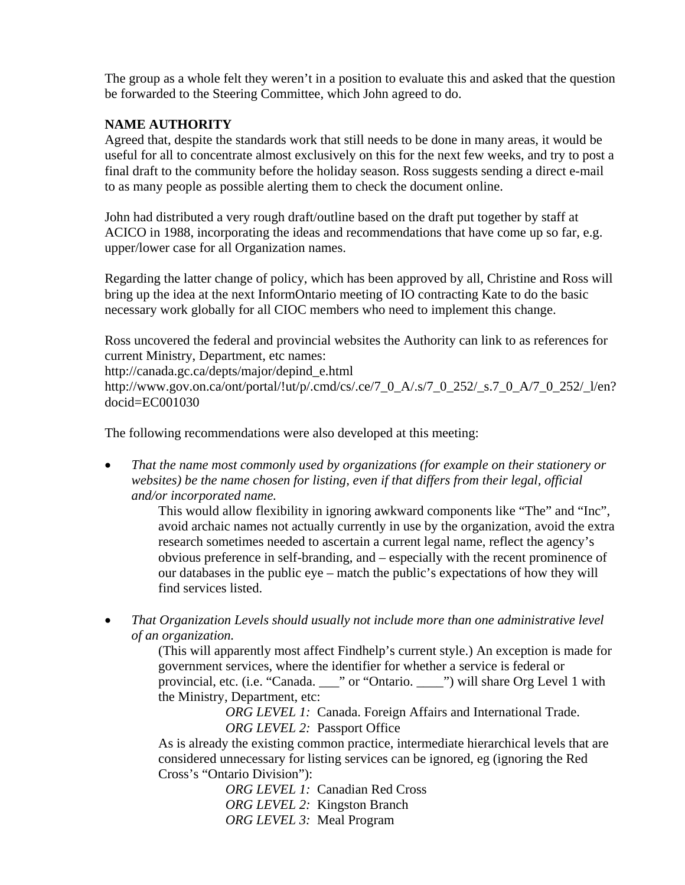The group as a whole felt they weren't in a position to evaluate this and asked that the question be forwarded to the Steering Committee, which John agreed to do.

## **NAME AUTHORITY**

Agreed that, despite the standards work that still needs to be done in many areas, it would be useful for all to concentrate almost exclusively on this for the next few weeks, and try to post a final draft to the community before the holiday season. Ross suggests sending a direct e-mail to as many people as possible alerting them to check the document online.

John had distributed a very rough draft/outline based on the draft put together by staff at ACICO in 1988, incorporating the ideas and recommendations that have come up so far, e.g. upper/lower case for all Organization names.

Regarding the latter change of policy, which has been approved by all, Christine and Ross will bring up the idea at the next InformOntario meeting of IO contracting Kate to do the basic necessary work globally for all CIOC members who need to implement this change.

Ross uncovered the federal and provincial websites the Authority can link to as references for current Ministry, Department, etc names:

http://canada.gc.ca/depts/major/depind\_e.html

http://www.gov.on.ca/ont/portal/!ut/p/.cmd/cs/.ce/7\_0\_A/.s/7\_0\_252/\_s.7\_0\_A/7\_0\_252/\_l/en? docid=EC001030

The following recommendations were also developed at this meeting:

• *That the name most commonly used by organizations (for example on their stationery or websites) be the name chosen for listing, even if that differs from their legal, official and/or incorporated name.* 

This would allow flexibility in ignoring awkward components like "The" and "Inc", avoid archaic names not actually currently in use by the organization, avoid the extra research sometimes needed to ascertain a current legal name, reflect the agency's obvious preference in self-branding, and – especially with the recent prominence of our databases in the public eye – match the public's expectations of how they will find services listed.

• *That Organization Levels should usually not include more than one administrative level of an organization.* 

(This will apparently most affect Findhelp's current style.) An exception is made for government services, where the identifier for whether a service is federal or provincial, etc. (i.e. "Canada. \_\_\_" or "Ontario. \_\_\_\_") will share Org Level 1 with the Ministry, Department, etc:

 *ORG LEVEL 1:* Canada. Foreign Affairs and International Trade. *ORG LEVEL 2:* Passport Office

As is already the existing common practice, intermediate hierarchical levels that are considered unnecessary for listing services can be ignored, eg (ignoring the Red Cross's "Ontario Division"):

 *ORG LEVEL 1:* Canadian Red Cross  *ORG LEVEL 2:* Kingston Branch  *ORG LEVEL 3:* Meal Program